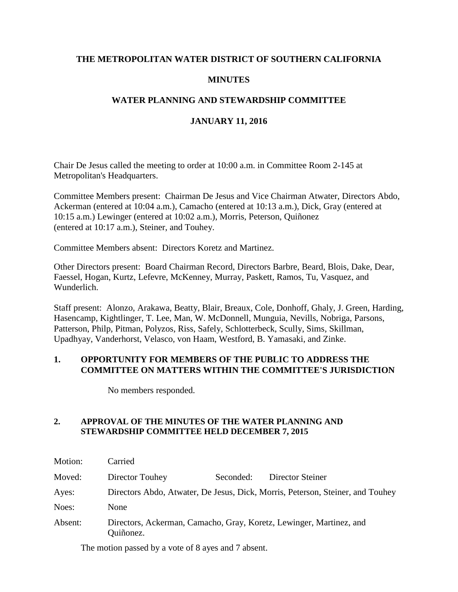### **THE METROPOLITAN WATER DISTRICT OF SOUTHERN CALIFORNIA**

### **MINUTES**

## **WATER PLANNING AND STEWARDSHIP COMMITTEE**

### **JANUARY 11, 2016**

Chair De Jesus called the meeting to order at 10:00 a.m. in Committee Room 2-145 at Metropolitan's Headquarters.

Committee Members present: Chairman De Jesus and Vice Chairman Atwater, Directors Abdo, Ackerman (entered at 10:04 a.m.), Camacho (entered at 10:13 a.m.), Dick, Gray (entered at 10:15 a.m.) Lewinger (entered at 10:02 a.m.), Morris, Peterson, Quiñonez (entered at 10:17 a.m.), Steiner, and Touhey.

Committee Members absent: Directors Koretz and Martinez.

Other Directors present: Board Chairman Record, Directors Barbre, Beard, Blois, Dake, Dear, Faessel, Hogan, Kurtz, Lefevre, McKenney, Murray, Paskett, Ramos, Tu, Vasquez, and Wunderlich.

Staff present: Alonzo, Arakawa, Beatty, Blair, Breaux, Cole, Donhoff, Ghaly, J. Green, Harding, Hasencamp, Kightlinger, T. Lee, Man, W. McDonnell, Munguia, Nevills, Nobriga, Parsons, Patterson, Philp, Pitman, Polyzos, Riss, Safely, Schlotterbeck, Scully, Sims, Skillman, Upadhyay, Vanderhorst, Velasco, von Haam, Westford, B. Yamasaki, and Zinke.

### **1. OPPORTUNITY FOR MEMBERS OF THE PUBLIC TO ADDRESS THE COMMITTEE ON MATTERS WITHIN THE COMMITTEE'S JURISDICTION**

No members responded.

#### **2. APPROVAL OF THE MINUTES OF THE WATER PLANNING AND STEWARDSHIP COMMITTEE HELD DECEMBER 7, 2015**

| Motion: | Carried                                                                          |           |                  |
|---------|----------------------------------------------------------------------------------|-----------|------------------|
| Moved:  | Director Touhey                                                                  | Seconded: | Director Steiner |
| Ayes:   | Directors Abdo, Atwater, De Jesus, Dick, Morris, Peterson, Steiner, and Touhey   |           |                  |
| Noes:   | None                                                                             |           |                  |
| Absent: | Directors, Ackerman, Camacho, Gray, Koretz, Lewinger, Martinez, and<br>Quiñonez. |           |                  |

The motion passed by a vote of 8 ayes and 7 absent.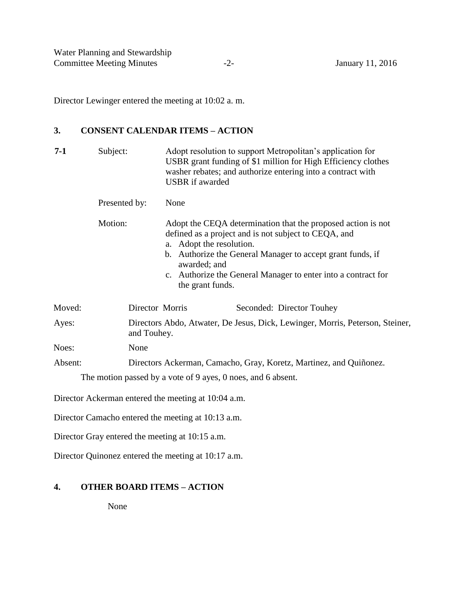Director Lewinger entered the meeting at 10:02 a. m.

### **3. CONSENT CALENDAR ITEMS – ACTION**

| $7-1$   | Subject:        | Adopt resolution to support Metropolitan's application for<br>USBR grant funding of \$1 million for High Efficiency clothes<br>washer rebates; and authorize entering into a contract with<br><b>USBR</b> if awarded                                                                                                |  |  |
|---------|-----------------|---------------------------------------------------------------------------------------------------------------------------------------------------------------------------------------------------------------------------------------------------------------------------------------------------------------------|--|--|
|         | Presented by:   | None                                                                                                                                                                                                                                                                                                                |  |  |
| Motion: |                 | Adopt the CEQA determination that the proposed action is not<br>defined as a project and is not subject to CEQA, and<br>a. Adopt the resolution.<br>b. Authorize the General Manager to accept grant funds, if<br>awarded; and<br>c. Authorize the General Manager to enter into a contract for<br>the grant funds. |  |  |
| Moved:  | Director Morris | Seconded: Director Touhey                                                                                                                                                                                                                                                                                           |  |  |
| Ayes:   |                 | Directors Abdo, Atwater, De Jesus, Dick, Lewinger, Morris, Peterson, Steiner,<br>and Touhey.                                                                                                                                                                                                                        |  |  |
| Noes:   | None            |                                                                                                                                                                                                                                                                                                                     |  |  |
| Absent: |                 | Directors Ackerman, Camacho, Gray, Koretz, Martinez, and Quiñonez.                                                                                                                                                                                                                                                  |  |  |
|         |                 | The motion passed by a vote of 9 ayes, 0 noes, and 6 absent.                                                                                                                                                                                                                                                        |  |  |

Director Ackerman entered the meeting at 10:04 a.m.

Director Camacho entered the meeting at 10:13 a.m.

Director Gray entered the meeting at 10:15 a.m.

Director Quinonez entered the meeting at 10:17 a.m.

## **4. OTHER BOARD ITEMS – ACTION**

None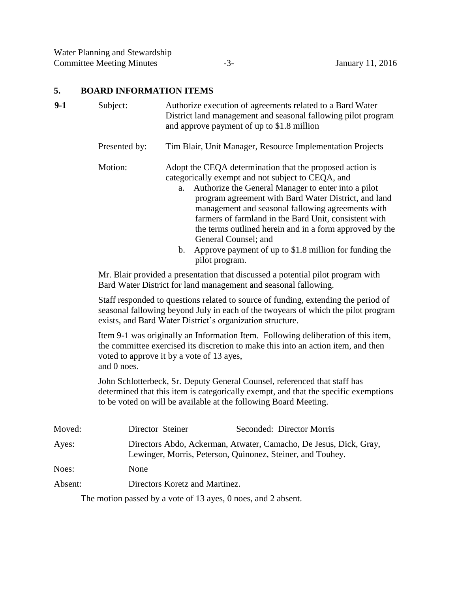### **5. BOARD INFORMATION ITEMS**

**9-1** Subject: Authorize execution of agreements related to a Bard Water District land management and seasonal fallowing pilot program and approve payment of up to \$1.8 million Presented by: Tim Blair, Unit Manager, Resource Implementation Projects Motion: Adopt the CEQA determination that the proposed action is categorically exempt and not subject to CEQA, and a. Authorize the General Manager to enter into a pilot program agreement with Bard Water District, and land management and seasonal fallowing agreements with farmers of farmland in the Bard Unit, consistent with the terms outlined herein and in a form approved by the General Counsel; and b. Approve payment of up to \$1.8 million for funding the pilot program. Mr. Blair provided a presentation that discussed a potential pilot program with Bard Water District for land management and seasonal fallowing. Staff responded to questions related to source of funding, extending the period of seasonal fallowing beyond July in each of the twoyears of which the pilot program exists, and Bard Water District's organization structure. Item 9-1 was originally an Information Item. Following deliberation of this item, the committee exercised its discretion to make this into an action item, and then voted to approve it by a vote of 13 ayes, and 0 noes. John Schlotterbeck, Sr. Deputy General Counsel, referenced that staff has determined that this item is categorically exempt, and that the specific exemptions to be voted on will be available at the following Board Meeting.

| Moved:  | Director Steiner                                                                                                                | Seconded: Director Morris |  |
|---------|---------------------------------------------------------------------------------------------------------------------------------|---------------------------|--|
| Ayes:   | Directors Abdo, Ackerman, Atwater, Camacho, De Jesus, Dick, Gray,<br>Lewinger, Morris, Peterson, Quinonez, Steiner, and Touhey. |                           |  |
| Noes:   | <b>None</b>                                                                                                                     |                           |  |
| Absent: | Directors Koretz and Martinez.                                                                                                  |                           |  |

The motion passed by a vote of 13 ayes, 0 noes, and 2 absent.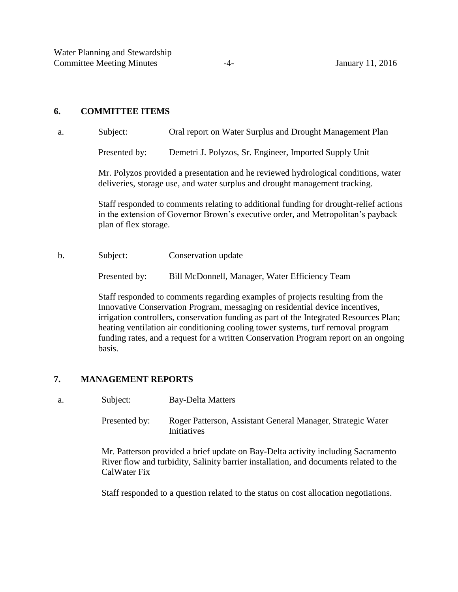### **6. COMMITTEE ITEMS**

a. Subject: Oral report on Water Surplus and Drought Management Plan Presented by: Demetri J. Polyzos, Sr. Engineer, Imported Supply Unit Mr. Polyzos provided a presentation and he reviewed hydrological conditions, water deliveries, storage use, and water surplus and drought management tracking. Staff responded to comments relating to additional funding for drought-relief actions in the extension of Governor Brown's executive order, and Metropolitan's payback plan of flex storage. b. Subject: Conservation update Presented by: Bill McDonnell, Manager, Water Efficiency Team

> Staff responded to comments regarding examples of projects resulting from the Innovative Conservation Program, messaging on residential device incentives, irrigation controllers, conservation funding as part of the Integrated Resources Plan; heating ventilation air conditioning cooling tower systems, turf removal program funding rates, and a request for a written Conservation Program report on an ongoing basis.

## **7. MANAGEMENT REPORTS**

a. Subject: Bay-Delta Matters

Presented by: Roger Patterson, Assistant General Manager, Strategic Water Initiatives

Mr. Patterson provided a brief update on Bay-Delta activity including Sacramento River flow and turbidity, Salinity barrier installation, and documents related to the CalWater Fix

Staff responded to a question related to the status on cost allocation negotiations.